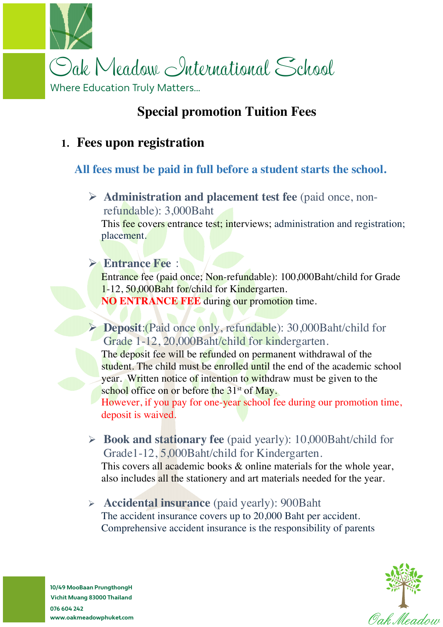

# **Special promotion Tuition Fees**

## **1. Fees upon registration**

#### **All fees must be paid in full before a student starts the school.**

Ø **Administration and placement test fee** (paid once, nonrefundable): 3,000Baht

This fee covers entrance test; interviews; administration and registration; placement.

#### Ø **Entrance Fee**:

Entrance fee (paid once; Non-refundable): 100,000Baht/child for Grade 1-12, 50,000Baht for/child for Kindergarten. **NO ENTRANCE FEE** during our promotion time.

Ø **Deposit**:(Paid once only, refundable): 30,000Baht/child for Grade 1-12, 20,000Baht/child for kindergarten.

The deposit fee will be refunded on permanent withdrawal of the student. The child must be enrolled until the end of the academic school year. Written notice of intention to withdraw must be given to the school office on or before the  $31<sup>st</sup>$  of May.

However, if you pay for one-year school fee during our promotion time, deposit is waived.

Ø **Book and stationary fee** (paid yearly): 10,000Baht/child for Grade1-12, 5,000Baht/child for Kindergarten.

This covers all academic books & online materials for the whole year, also includes all the stationery and art materials needed for the year.

Ø **Accidental insurance** (paid yearly): 900Baht The accident insurance covers up to 20,000 Baht per accident. Comprehensive accident insurance is the responsibility of parents



**10/49 MooBaan PrungthongH Vichit Muang 83000 Thailand 076 604 242 www.oakmeadowphuket.com**